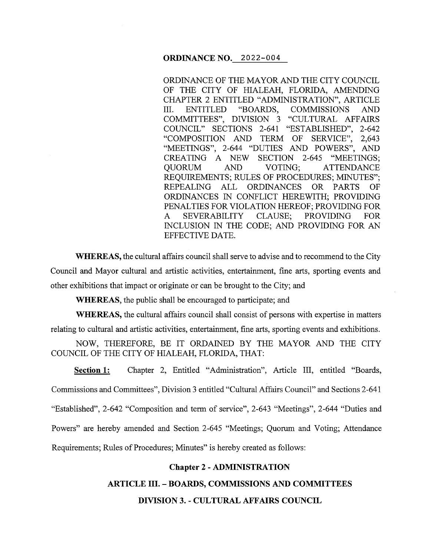### **ORDINANCE NO.** 2022-004

ORDINANCE OF THE MAYOR AND THE CITY COUNCIL OF THE CITY OF HIALEAH, FLORIDA, AMENDING CHAPTER 2 ENTITLED "ADMINISTRATION", ARTICLE III. ENTITLED "BOARDS, COMMISSIONS AND COMMITTEES", DIVISION 3 "CULTURAL AFFAIRS COUNCIL" SECTIONS 2-641 "ESTABLISHED", 2-642 "COMPOSITION AND TERM OF SERVICE", 2,643 "MEETINGS'', 2-644 "DUTIES AND POWERS", AND CREATING A NEW SECTION 2-645 "MEETINGS; QUORUM AND VOTING; ATTENDANCE REQUIREMENTS; RULES OF PROCEDURES; MINUTES"; REPEALING ALL ORDINANCES OR PARTS OF ORDINANCES IN CONFLICT HEREWITH; PROVIDING PENALTIES FOR VIOLATION HEREOF; PROVIDING FOR A SEVERABILITY CLAUSE; PROVIDING FOR INCLUSION IN THE CODE; AND PROVIDING FOR AN EFFECTIVE DATE.

**WHEREAS,** the cultural affairs council shall serve to advise and to recommend to the City Council and Mayor cultural and artistic activities, entertainment, fine arts, sporting events and other exhibitions that impact or originate or can be brought to the City; and

**WHEREAS,** the public shall be encouraged to participate; and

**WHEREAS,** the cultural affairs council shall consist of persons with expertise in matters relating to cultural and artistic activities, entertainment, fine arts, sporting events and exhibitions.

NOW, THEREFORE, BE IT ORDAINED BY THE MAYOR AND THE CITY COUNCIL OF THE CITY OF HIALEAH, FLORIDA, THAT:

Section 1: Chapter 2, Entitled "Administration", Article III, entitled "Boards, Commissions and Committees", Division 3 entitled "Cultural Affairs Council" and Sections 2-641 "Established", 2-642 "Composition and term of service", 2-643 "Meetings", 2-644 "Duties and Powers" are hereby amended and Section 2-645 "Meetings; Quorum and Voting; Attendance Requirements; Rules of Procedures; Minutes" is hereby created as follows:

# **Chapter 2-ADMINISTRATION**

**ARTICLE III. - BOARDS, COMMISSIONS AND COMMITTEES** 

# **DIVISION** 3. - **CULTURAL AFFAIRS COUNCIL**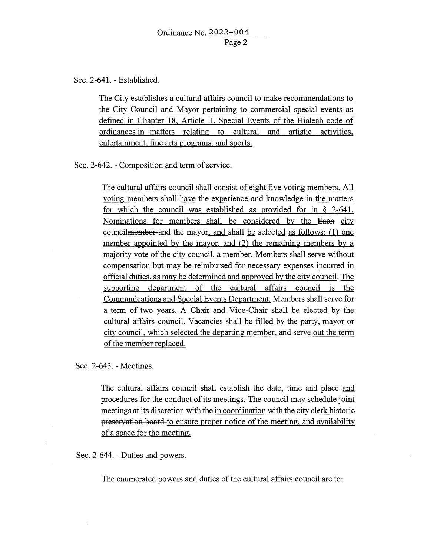Sec. 2-641. - Established.

The City establishes a cultural affairs council to make recommendations to the City Council and Mayor pertaining to commercial special events as defined in Chapter 18, Article II, Special Events of the Hialeah code of ordinances in matters relating to cultural and artistic activities, entertainment, fine arts programs, and sports.

Sec. 2-642. - Composition and term of service.

The cultural affairs council shall consist of eight five voting members. All voting members shall have the experience and knowledge in the matters for which the council was established as provided for in § 2-641. Nominations for members shall be considered by the Each city council<del>member</del> and the mayor, and shall be selected as follows: (1) one member appointed by the mayor, and (2) the remaining members by a majority vote of the city council. a member. Members shall serve without compensation but may be reimbursed for necessary expenses incurred in official duties, as may be determined and approved by the city council. The supporting department of the cultural affairs council is the Communications and Special Events Department. Members shall serve for a term of two years. A Chair and Vice-Chair shall be elected by the cultural affairs council. Vacancies shall be filled by the party, mayor or city council, which selected the departing member, and serve out the term of the member replaced.

Sec. 2-643. - Meetings.

The cultural affairs council shall establish the date, time and place and procedures for the conduct of its meetings. The council may schedule joint meetings at its discretion with the in coordination with the city clerk historic preservation board to ensure proper notice of the meeting, and availability of a space for the meeting.

Sec. 2-644. - Duties and powers.

The enumerated powers and duties of the cultural affairs council are to: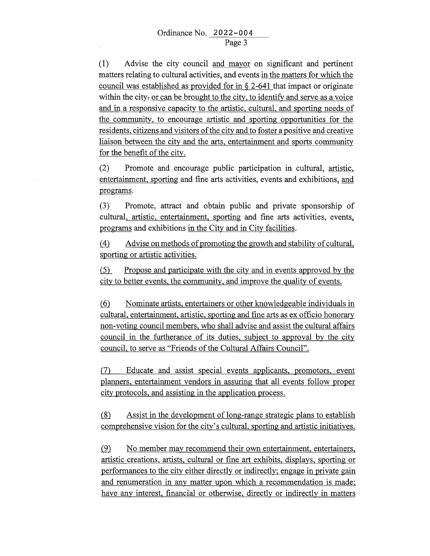(1) Advise the city council and mayor on significant and pertinent matters relating to cultural activities, and events in the matters for which the council was established as provided for in § 2-641 that impact or originate within the city- or can be brought to the city, to identify and serve as a voice and in a responsive capacity to the artistic, cultural, and sporting needs of the community, to encourage artistic and sporting opportunities for the residents, citizens and visitors of the city and to foster a positive and creative liaison between the city and the arts, entertainment and sports community for the benefit of the city.

(2) Promote and encourage public participation in cultural\_, artistic, entertainment, sporting and fine arts activities, events and exhibitions\_, and programs.

(3) Promote, attract and obtain public and private sponsorship of cultural, artistic, entertainment, sporting and fine arts activities, events\_, programs and exhibitions in the City and in City facilities.

 $\dot{A}$  Advise on methods of promoting the growth and stability of cultural, sporting or artistic activities.

 $f(5)$  Propose and participate with the city and in events approved by the city to better events, the community, and improve the quality of events.

® Nominate artists, entertainers or other knowledgeable individuals in cultural, entertainment, artistic, sporting and fine arts as ex officio honorary non-voting council members, who shall advise and assist the cultural affairs council in the furtherance of its duties, subject to approval by the city council, to serve as "Friends of the Cultural Affairs Council".

(7) Educate and assist special events applicants, promotors, event planners, entertainment vendors in assuring that all events follow proper city protocols, and assisting in the application process.

 $(8)$  Assist in the development of long-range strategic plans to establish comprehensive vision for the city's cultural, sporting and artistic initiatives .

.(2} No member may recommend their own entertainment, entertainers, artistic creations, artists, cultural or fine art exhibits, displays, sporting or performances to the city either directly or indirectly; engage in private gain and renumeration in any matter upon which a recommendation is made; have any interest, financial or otherwise, directly or indirectly in matters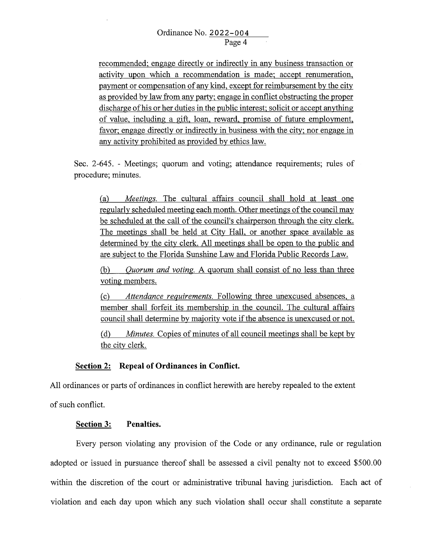recommended; engage directly or indirectly in any business transaction or activity upon which a recommendation is made; accept renumeration, payment or compensation of any kind, except for reimbursement by the city as provided by law from any party; engage in conflict obstructing the proper discharge of his or her duties in the public interest; solicit or accept anything of value, including a gift, loan, reward, promise of future employment, favor; engage directly or indirectly in business with the city; nor engage in any activity prohibited as provided by ethics law.

Sec. 2-645. - Meetings; quorum and voting; attendance requirements; rules of procedure; minutes.

(a) *Meetings.* The cultural affairs council shall hold at least one regularly scheduled meeting each month. Other meetings of the council may be scheduled at the call of the council's chairperson through the city clerk. The meetings shall be held at City Hall, or another space available as determined by the city clerk. All meetings shall be open to the public and are subject to the Florida Sunshine Law and Florida Public Records Law.

(b) *Quorum and voting.* A quorum shall consist of no less than three voting members.

(c) *Attendance requirements.* Following three unexcused absences, a member shall forfeit its membership in the council. The cultural affairs council shall determine by majority vote if the absence is unexcused or not.

( d) *Minutes.* Copies of minutes of all council meetings shall be kept by the city clerk.

# **Section 2: Repeal of Ordinances in Conflict.**

All ordinances or parts of ordinances in conflict herewith are hereby repealed to the extent

of such conflict.

## **Section 3: Penalties.**

Every person violating any provision of the Code or any ordinance, rule or regulation adopted or issued in pursuance thereof shall be assessed a civil penalty not to exceed \$500.00 within the discretion of the court or administrative tribunal having jurisdiction. Each act of violation and each day upon which any such violation shall occur shall constitute a separate